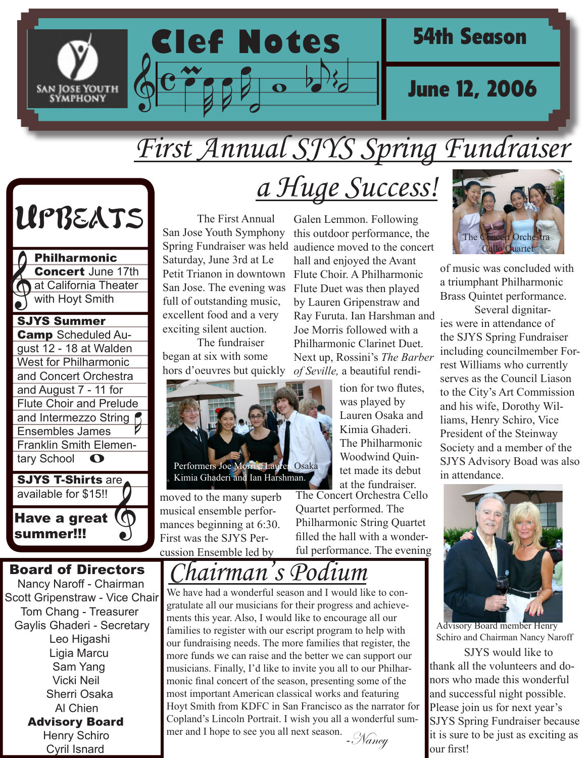

## *First Annual SJYS Spring Fundraiser*



and Intermezzo String **ega**  $\bullet$ SJYS Summer **Camp** Scheduled August 12 - 18 at Walden West for Philharmonic and Concert Orchestra and August 7 - 11 for Flute Choir and Prelude Ensembles James Franklin Smith Elementary School Philharmonic Concert June 17th at California Theater with Hoyt Smith



 Board of Directors Nancy Naroff - Chairman Scott Gripenstraw - Vice Chair Tom Chang - Treasurer Gaylis Ghaderi - Secretary Leo Higashi Ligia Marcu Sam Yang Vicki Neil Sherri Osaka Al Chien Advisory Board Henry Schiro Cyril Isnard

## *a Huge Success!*

 The First Annual San Jose Youth Symphony Saturday, June 3rd at Le Petit Trianon in downtown San Jose. The evening was full of outstanding music, excellent food and a very exciting silent auction.

 The fundraiser began at six with some hors d'oeuvres but quickly



moved to the many superb musical ensemble performances beginning at 6:30. First was the SJYS Percussion Ensemble led by

Spring Fundraiser was held audience moved to the concert Galen Lemmon. Following this outdoor performance, the hall and enjoyed the Avant Flute Choir. A Philharmonic Flute Duet was then played by Lauren Gripenstraw and Ray Furuta. Ian Harshman and Joe Morris followed with a Philharmonic Clarinet Duet. Next up, Rossini's *The Barber of Seville,* a beautiful rendi-

> tion for two flutes, was played by Lauren Osaka and Kimia Ghaderi. The Philharmonic Woodwind Quintet made its debut at the fundraiser.

The Concert Orchestra Cello Quartet performed. The Philharmonic String Quartet filled the hall with a wonderful performance. The evening

*Chairman's Podium*

We have had a wonderful season and I would like to congratulate all our musicians for their progress and achievements this year. Also, I would like to encourage all our families to register with our escript program to help with our fundraising needs. The more families that register, the more funds we can raise and the better we can support our musicians. Finally, I'd like to invite you all to our Philharmonic final concert of the season, presenting some of the most important American classical works and featuring Hoyt Smith from KDFC in San Francisco as the narrator for Copland's Lincoln Portrait. I wish you all a wonderful summer and I hope to see you all next season. - Nancy



of music was concluded with a triumphant Philharmonic Brass Quintet performance.

 Several dignitaries were in attendance of the SJYS Spring Fundraiser including councilmember Forrest Williams who currently serves as the Council Liason to the City's Art Commission and his wife, Dorothy Williams, Henry Schiro, Vice President of the Steinway Society and a member of the SJYS Advisory Boad was also in attendance.



Advisory Board member Henry Schiro and Chairman Nancy Naroff

 SJYS would like to thank all the volunteers and donors who made this wonderful and successful night possible. Please join us for next year's SJYS Spring Fundraiser because it is sure to be just as exciting as our first!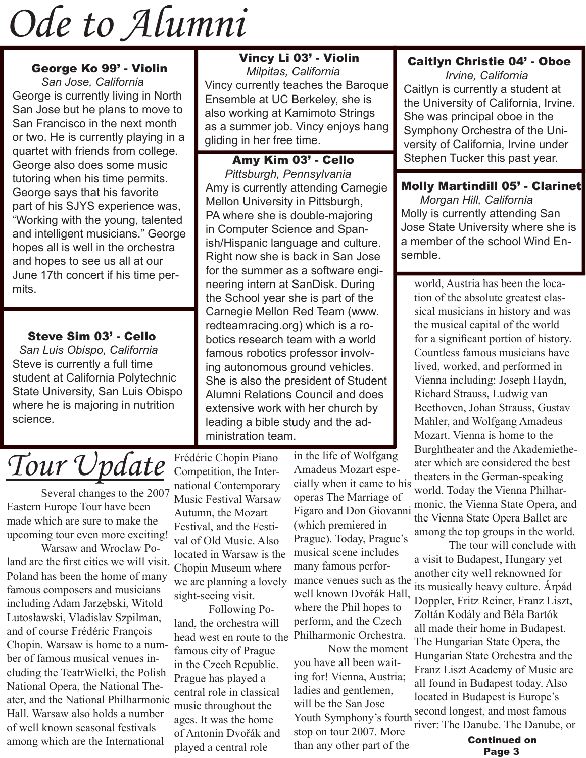## *Ode to Alumni*

#### George Ko 99' - Violin

 *San Jose, California* George is currently living in North San Jose but he plans to move to San Francisco in the next month or two. He is currently playing in a quartet with friends from college. George also does some music tutoring when his time permits. George says that his favorite part of his SJYS experience was, "Working with the young, talented and intelligent musicians." George hopes all is well in the orchestra and hopes to see us all at our June 17th concert if his time permits.

#### Steve Sim 03' - Cello

 *San Luis Obispo, California* Steve is currently a full time student at California Polytechnic State University, San Luis Obispo where he is majoring in nutrition science.

#### Vincy Li 03' - Violin  *Milpitas, California* Vincy currently teaches the Baroque Ensemble at UC Berkeley, she is also working at Kamimoto Strings as a summer job. Vincy enjoys hang gliding in her free time.

 Amy Kim 03' - Cello  *Pittsburgh, Pennsylvania* Amy is currently attending Carnegie Mellon University in Pittsburgh, PA where she is double-majoring in Computer Science and Spanish/Hispanic language and culture. Right now she is back in San Jose for the summer as a software engineering intern at SanDisk. During the School year she is part of the Carnegie Mellon Red Team (www. redteamracing.org) which is a robotics research team with a world famous robotics professor involving autonomous ground vehicles. She is also the president of Student Alumni Relations Council and does extensive work with her church by leading a bible study and the administration team.

## *Tour Update*

 Several changes to the 2007 Eastern Europe Tour have been made which are sure to make the upcoming tour even more exciting!

 Warsaw and Wroclaw Poland are the first cities we will visit. Poland has been the home of many famous composers and musicians including Adam Jarzębski, Witold Lutosławski, Vladislav Szpilman, and of course Frédéric François Chopin. Warsaw is home to a number of famous musical venues including the TeatrWielki, the Polish National Opera, the National Theater, and the National Philharmonic Hall. Warsaw also holds a number of well known seasonal festivals among which are the International

Frédéric Chopin Piano Competition, the International Contemporary Music Festival Warsaw Autumn, the Mozart Festival, and the Festival of Old Music. Also located in Warsaw is the Chopin Museum where we are planning a lovely sight-seeing visit.

 Following Poland, the orchestra will head west en route to the famous city of Prague in the Czech Republic. Prague has played a central role in classical music throughout the ages. It was the home of Antonín Dvořák and played a central role

in the life of Wolfgang Amadeus Mozart especially when it came to his operas The Marriage of Figaro and Don Giovanni (which premiered in Prague). Today, Prague's musical scene includes many famous performance venues such as the well known Dvořák Hall, where the Phil hopes to perform, and the Czech Philharmonic Orchestra.

 Now the moment you have all been waiting for! Vienna, Austria; ladies and gentlemen, will be the San Jose Youth Symphony's fourth stop on tour 2007. More than any other part of the

#### Caitlyn Christie 04' - Oboe

 *Irvine, California* Caitlyn is currently a student at the University of California, Irvine. She was principal oboe in the Symphony Orchestra of the University of California, Irvine under Stephen Tucker this past year.

#### Molly Martindill 05' - Clarinet

 *Morgan Hill, California* Molly is currently attending San Jose State University where she is a member of the school Wind Ensemble.

world, Austria has been the location of the absolute greatest classical musicians in history and was the musical capital of the world for a significant portion of history. Countless famous musicians have lived, worked, and performed in Vienna including: Joseph Haydn, Richard Strauss, Ludwig van Beethoven, Johan Strauss, Gustav Mahler, and Wolfgang Amadeus Mozart. Vienna is home to the Burghtheater and the Akademietheater which are considered the best theaters in the German-speaking world. Today the Vienna Philharmonic, the Vienna State Opera, and the Vienna State Opera Ballet are among the top groups in the world.

 The tour will conclude with a visit to Budapest, Hungary yet another city well reknowned for its musically heavy culture. Árpád Doppler, Fritz Reiner, Franz Liszt, Zoltán Kodály and Béla Bartók all made their home in Budapest. The Hungarian State Opera, the Hungarian State Orchestra and the Franz Liszt Academy of Music are all found in Budapest today. Also located in Budapest is Europe's second longest, and most famous river: The Danube. The Danube, or

> Continued on Page 3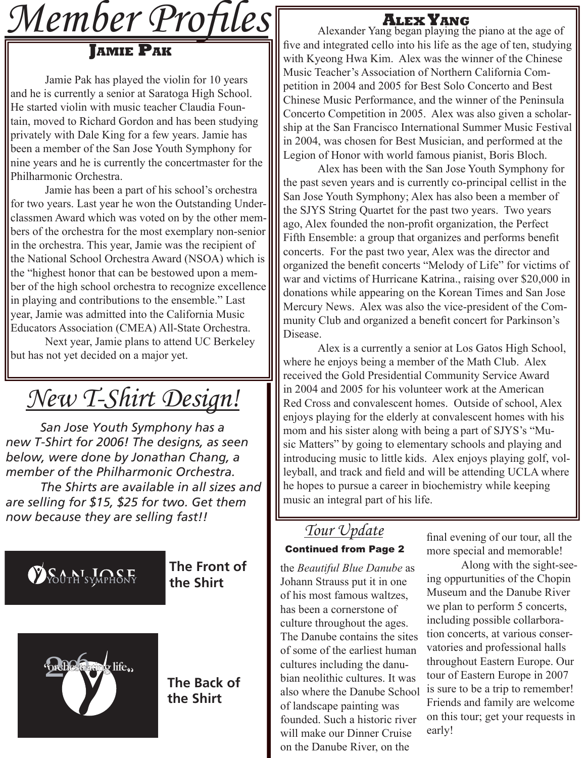

 Jamie Pak has played the violin for 10 years and he is currently a senior at Saratoga High School. He started violin with music teacher Claudia Fountain, moved to Richard Gordon and has been studying privately with Dale King for a few years. Jamie has been a member of the San Jose Youth Symphony for nine years and he is currently the concertmaster for the Philharmonic Orchestra.

 Jamie has been a part of his school's orchestra for two years. Last year he won the Outstanding Underclassmen Award which was voted on by the other members of the orchestra for the most exemplary non-senior in the orchestra. This year, Jamie was the recipient of the National School Orchestra Award (NSOA) which is the "highest honor that can be bestowed upon a member of the high school orchestra to recognize excellence in playing and contributions to the ensemble." Last year, Jamie was admitted into the California Music Educators Association (CMEA) All-State Orchestra.

 Next year, Jamie plans to attend UC Berkeley but has not yet decided on a major yet.

*New T-Shirt Design!*

*San Jose Youth Symphony has a new T-Shirt for 2006! The designs, as seen below, were done by Jonathan Chang, a member of the Philharmonic Orchestra. The Shirts are available in all sizes and are selling for \$15, \$25 for two. Get them now because they are selling fast!!*



#### **The Front of the Shirt**



#### **The Back of the Shirt**

Alexander Yang began playing the piano at the age of five and integrated cello into his life as the age of ten, studying with Kyeong Hwa Kim. Alex was the winner of the Chinese Music Teacher's Association of Northern California Competition in 2004 and 2005 for Best Solo Concerto and Best Chinese Music Performance, and the winner of the Peninsula Concerto Competition in 2005. Alex was also given a scholarship at the San Francisco International Summer Music Festival in 2004, was chosen for Best Musician, and performed at the Legion of Honor with world famous pianist, Boris Bloch.

 Alex has been with the San Jose Youth Symphony for the past seven years and is currently co-principal cellist in the San Jose Youth Symphony; Alex has also been a member of the SJYS String Quartet for the past two years. Two years ago, Alex founded the non-profit organization, the Perfect Fifth Ensemble: a group that organizes and performs benefit concerts. For the past two year, Alex was the director and organized the benefit concerts "Melody of Life" for victims of war and victims of Hurricane Katrina., raising over \$20,000 in donations while appearing on the Korean Times and San Jose Mercury News. Alex was also the vice-president of the Community Club and organized a benefit concert for Parkinson's Disease.

 Alex is a currently a senior at Los Gatos High School, where he enjoys being a member of the Math Club. Alex received the Gold Presidential Community Service Award in 2004 and 2005 for his volunteer work at the American Red Cross and convalescent homes. Outside of school, Alex enjoys playing for the elderly at convalescent homes with his mom and his sister along with being a part of SJYS's "Music Matters" by going to elementary schools and playing and introducing music to little kids. Alex enjoys playing golf, volleyball, and track and field and will be attending UCLA where he hopes to pursue a career in biochemistry while keeping music an integral part of his life.

#### *Tour Update* Continued from Page 2

the *Beautiful Blue Danube* as Johann Strauss put it in one of his most famous waltzes, has been a cornerstone of culture throughout the ages. The Danube contains the sites of some of the earliest human cultures including the danubian neolithic cultures. It was also where the Danube School of landscape painting was founded. Such a historic river will make our Dinner Cruise on the Danube River, on the

final evening of our tour, all the more special and memorable!

 Along with the sight-seeing oppurtunities of the Chopin Museum and the Danube River we plan to perform 5 concerts, including possible collarboration concerts, at various conservatories and professional halls throughout Eastern Europe. Our tour of Eastern Europe in 2007 is sure to be a trip to remember! Friends and family are welcome on this tour; get your requests in early!